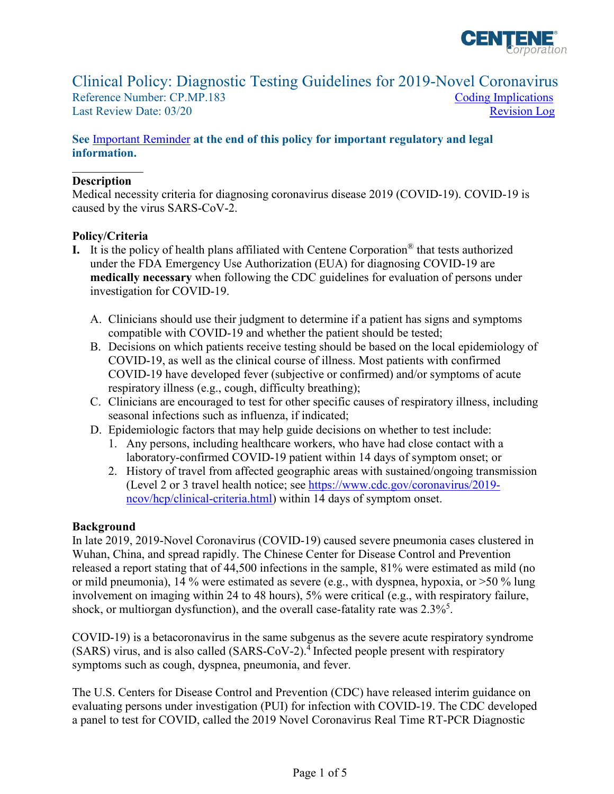

# Clinical Policy: Diagnostic Testing Guidelines for 2019-Novel Coronavirus

Reference Number: CP.MP.183 Coding Implications Last Review Date: 03/20 Revision Log

### **See** [Important Reminder](#page-2-1) **at the end of this policy for important regulatory and legal information.**

### **Description**

Medical necessity criteria for diagnosing coronavirus disease 2019 (COVID-19). COVID-19 is caused by the virus SARS-CoV-2.

### **Policy/Criteria**

- under the FDA Emergency Use Authorization (EUA) for diagnosing COVID-19 are **medically necessary** when following the CDC guidelines for evaluation of persons under **I.** It is the policy of health plans affiliated with Centene Corporation® that tests authorized investigation for COVID-19.
	- A. Clinicians should use their judgment to determine if a patient has signs and symptoms compatible with COVID-19 and whether the patient should be tested;
	- B. Decisions on which patients receive testing should be based on the local epidemiology of COVID-19, as well as the clinical course of illness. Most patients with confirmed COVID-19 have developed fever (subjective or confirmed) and/or symptoms of acute respiratory illness (e.g., cough, difficulty breathing);
	- C. Clinicians are encouraged to test for other specific causes of respiratory illness, including seasonal infections such as influenza, if indicated;
	-
	- D. Epidemiologic factors that may help guide decisions on whether to test include: 1. Any persons, including healthcare workers, who have had close contact with a laboratory-confirmed COVID-19 patient within 14 days of symptom onset; or
		- 2. History of travel from affected geographic areas with sustained/ongoing transmission (Level 2 or 3 travel health notice; see [https://www.cdc.gov/coronavirus/2019](https://www.cdc.gov/coronavirus/2019-ncov/hcp/clinical-criteria.html) [ncov/hcp/clinical-criteria.html\)](https://www.cdc.gov/coronavirus/2019-ncov/hcp/clinical-criteria.html) within 14 days of symptom onset.

### **Background**

 In late 2019, 2019-Novel Coronavirus (COVID-19) caused severe pneumonia cases clustered in released a report stating that of 44,500 infections in the sample, 81% were estimated as mild (no or mild pneumonia), 14 % were estimated as severe (e.g., with dyspnea, hypoxia, or >50 % lung Wuhan, China, and spread rapidly. The Chinese Center for Disease Control and Prevention involvement on imaging within 24 to 48 hours), 5% were critical (e.g., with respiratory failure, shock, or multiorgan dysfunction), and the overall case-fatality rate was  $2.3\%$ <sup>5</sup>.

symptoms such as cough, dyspnea, pneumonia, and fever. COVID-19) is a betacoronavirus in the same subgenus as the severe acute respiratory syndrome  $(SARS)$  virus, and is also called  $(SARS-CoV-2)$ .<sup>4</sup> Infected people present with respiratory

The U.S. Centers for Disease Control and Prevention (CDC) have released interim guidance on evaluating persons under investigation (PUI) for infection with COVID-19. The CDC developed a panel to test for COVID, called the 2019 Novel Coronavirus Real Time RT-PCR Diagnostic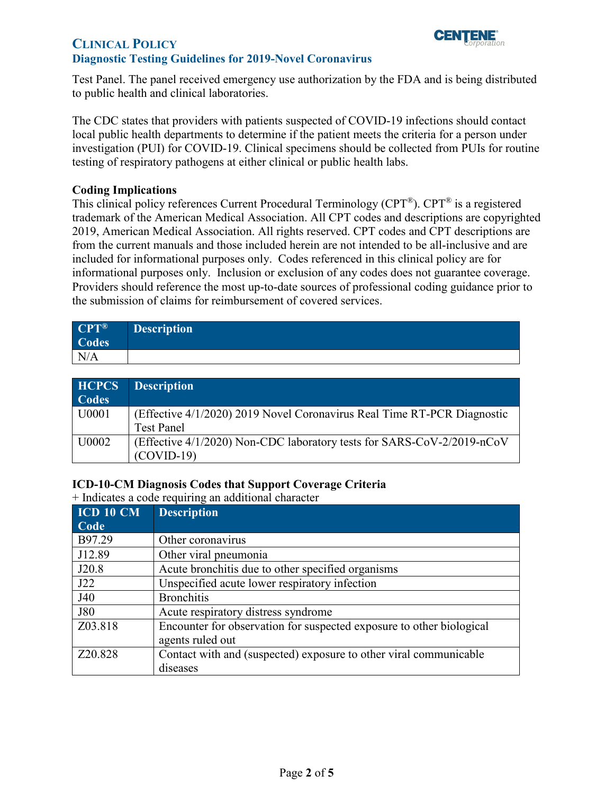

### **CLINICAL POLICY Diagnostic Testing Guidelines for 2019-Novel Coronavirus**

Test Panel. The panel received emergency use authorization by the FDA and is being distributed to public health and clinical laboratories.

 [investigation \(PUI\)](https://www.cdc.gov/coronavirus/2019-ncov/hcp/clinical-criteria.html) for COVID-19. Clinical specimens should be collected from PUIs for routine testing of respiratory pathogens at either clinical or public health labs. The CDC states that providers with patients suspected of COVID-19 infections should contact local public health departments to determine if the patient meets the [criteria for a person under](https://www.cdc.gov/coronavirus/2019-ncov/hcp/clinical-criteria.html) 

#### <span id="page-1-0"></span>**Coding Implications**

 2019, American Medical Association. All rights reserved. CPT codes and CPT descriptions are included for informational purposes only. Codes referenced in this clinical policy are for Providers should reference the most up-to-date sources of professional coding guidance prior to This clinical policy references Current Procedural Terminology (CPT®). CPT® is a registered trademark of the American Medical Association. All CPT codes and descriptions are copyrighted from the current manuals and those included herein are not intended to be all-inclusive and are informational purposes only. Inclusion or exclusion of any codes does not guarantee coverage. the submission of claims for reimbursement of covered services.

| $CPT^{\circledR}$ | <b>Description</b> |
|-------------------|--------------------|
| Codes             |                    |
| N/A               |                    |

| <b>HCPCS</b><br><b>Codes</b> | <b>Description</b>                                                      |
|------------------------------|-------------------------------------------------------------------------|
| U0001                        | (Effective 4/1/2020) 2019 Novel Coronavirus Real Time RT-PCR Diagnostic |
|                              | <b>Test Panel</b>                                                       |
| U0002                        | (Effective 4/1/2020) Non-CDC laboratory tests for SARS-CoV-2/2019-nCoV  |
|                              | $(COVID-19)$                                                            |

### **ICD-10-CM Diagnosis Codes that Support Coverage Criteria**

+ Indicates a code requiring an additional character

| <b>ICD 10 CM</b> | <b>Description</b>                                                   |
|------------------|----------------------------------------------------------------------|
| Code             |                                                                      |
| B97.29           | Other coronavirus                                                    |
| J12.89           | Other viral pneumonia                                                |
| J20.8            | Acute bronchitis due to other specified organisms                    |
| J22              | Unspecified acute lower respiratory infection                        |
| J40              | <b>Bronchitis</b>                                                    |
| <b>J80</b>       | Acute respiratory distress syndrome                                  |
| Z03.818          | Encounter for observation for suspected exposure to other biological |
|                  | agents ruled out                                                     |
| Z20.828          | Contact with and (suspected) exposure to other viral communicable    |
|                  | diseases                                                             |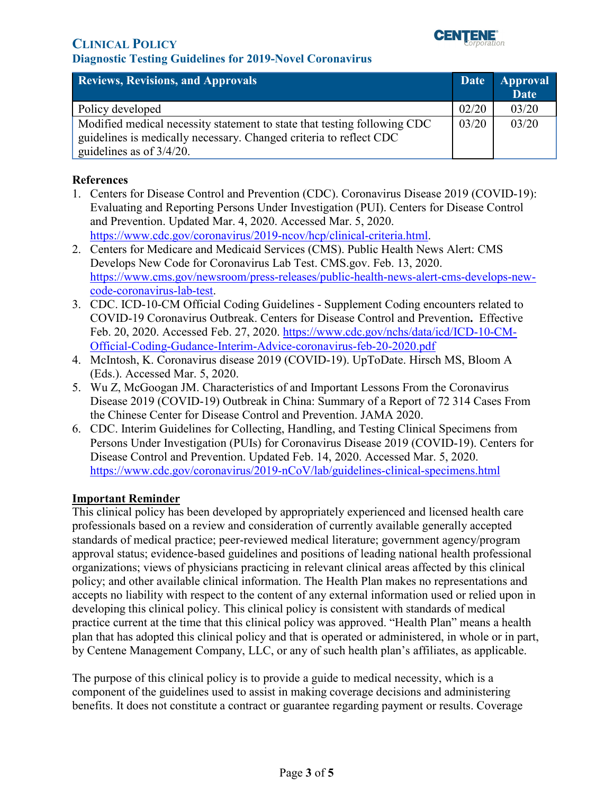## **Diagnostic Testing Guidelines for 2019-Novel Coronavirus**



<span id="page-2-0"></span>

| <b>Reviews, Revisions, and Approvals</b>                                                                                                                                      | Date  | <b>Approval</b><br><b>Date</b> |
|-------------------------------------------------------------------------------------------------------------------------------------------------------------------------------|-------|--------------------------------|
| Policy developed                                                                                                                                                              | 02/20 | 03/20                          |
| Modified medical necessity statement to state that testing following CDC<br>guidelines is medically necessary. Changed criteria to reflect CDC<br>guidelines as of $3/4/20$ . | 03/20 | 03/20                          |

#### **References**

- Evaluating and Reporting Persons Under Investigation (PUI). [Centers](file://centene.com/users/STL/SFLUCHEL/SCF%20Policy/Annual%20Review/3.March%202020/Centers) for Disease Control 1. Centers for Disease Control and Prevention (CDC). Coronavirus Disease 2019 (COVID-19): and Prevention. Updated Mar. 4, 2020. Accessed Mar. 5, 2020. [https://www.cdc.gov/coronavirus/2019-ncov/hcp/clinical-criteria.html.](https://www.cdc.gov/coronavirus/2019-ncov/hcp/clinical-criteria.html)
- 2. Centers for Medicare and Medicaid Services (CMS). Public Health News Alert: CMS Develops New Code for Coronavirus Lab Test. CMS.gov. Feb. 13, 2020. [https://www.cms.gov/newsroom/press-releases/public-health-news-alert-cms-develops-new](https://www.cms.gov/newsroom/press-releases/public-health-news-alert-cms-develops-new-code-coronavirus-lab-test)[code-coronavirus-lab-test.](https://www.cms.gov/newsroom/press-releases/public-health-news-alert-cms-develops-new-code-coronavirus-lab-test)
- 3. CDC. ICD-10-CM Official Coding Guidelines Supplement Coding encounters related to COVID-19 Coronavirus Outbreak. [Centers](file://centene.com/users/STL/SFLUCHEL/SCF%20Policy/Annual%20Review/3.March%202020/Centers) for Disease Control and Prevention**.** Effective Feb. 20, 2020. Accessed Feb. 27, 2020. [https://www.cdc.gov/nchs/data/icd/ICD-10-CM-](https://www.cdc.gov/nchs/data/icd/ICD-10-CM-Official-Coding-Gudance-Interim-Advice-coronavirus-feb-20-2020.pdf)[Official-Coding-Gudance-Interim-Advice-coronavirus-feb-20-2020.pdf](https://www.cdc.gov/nchs/data/icd/ICD-10-CM-Official-Coding-Gudance-Interim-Advice-coronavirus-feb-20-2020.pdf)
- 4. McIntosh, K. Coronavirus disease 2019 (COVID-19). UpToDate. Hirsch MS, Bloom A (Eds.). Accessed Mar. 5, 2020.
- [5. Wu Z, McGoogan JM. Characteristics of and Important Lessons From the Coronavirus](https://www.uptodate.com/contents/coronavirus-disease-2019-covid-19/abstract/34)  Disease 2019 (COVID-[19\) Outbreak in China: Summary of a Report of 72](https://www.uptodate.com/contents/coronavirus-disease-2019-covid-19/abstract/34) 314 Cases From [the Chinese Center for Disease Control and Prevention. JAMA 2020.](https://www.uptodate.com/contents/coronavirus-disease-2019-covid-19/abstract/34)
- 6. CDC. Interim Guidelines for Collecting, Handling, and Testing Clinical Specimens from Persons Under Investigation (PUIs) for Coronavirus Disease 2019 (COVID-19). [Centers](file://centene.com/users/STL/SFLUCHEL/SCF%20Policy/Annual%20Review/3.March%202020/Centers) for Disease Control and Prevention. Updated Feb. 14, 2020. Accessed Mar. 5, 2020. <https://www.cdc.gov/coronavirus/2019-nCoV/lab/guidelines-clinical-specimens.html>

### <span id="page-2-1"></span>**Important Reminder**

This clinical policy has been developed by appropriately experienced and licensed health care professionals based on a review and consideration of currently available generally accepted standards of medical practice; peer-reviewed medical literature; government agency/program approval status; evidence-based guidelines and positions of leading national health professional organizations; views of physicians practicing in relevant clinical areas affected by this clinical policy; and other available clinical information. The Health Plan makes no representations and accepts no liability with respect to the content of any external information used or relied upon in developing this clinical policy. This clinical policy is consistent with standards of medical practice current at the time that this clinical policy was approved. "Health Plan" means a health plan that has adopted this clinical policy and that is operated or administered, in whole or in part, by Centene Management Company, LLC, or any of such health plan's affiliates, as applicable.

The purpose of this clinical policy is to provide a guide to medical necessity, which is a component of the guidelines used to assist in making coverage decisions and administering benefits. It does not constitute a contract or guarantee regarding payment or results. Coverage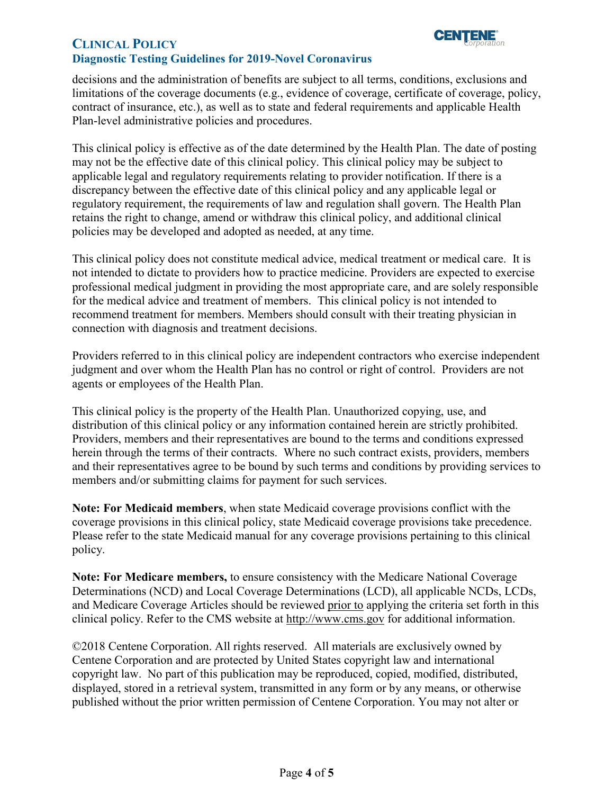

### **CLINICAL POLICY Diagnostic Testing Guidelines for 2019-Novel Coronavirus**

decisions and the administration of benefits are subject to all terms, conditions, exclusions and limitations of the coverage documents (e.g., evidence of coverage, certificate of coverage, policy, contract of insurance, etc.), as well as to state and federal requirements and applicable Health Plan-level administrative policies and procedures.

 applicable legal and regulatory requirements relating to provider notification. If there is a This clinical policy is effective as of the date determined by the Health Plan. The date of posting may not be the effective date of this clinical policy. This clinical policy may be subject to discrepancy between the effective date of this clinical policy and any applicable legal or regulatory requirement, the requirements of law and regulation shall govern. The Health Plan retains the right to change, amend or withdraw this clinical policy, and additional clinical policies may be developed and adopted as needed, at any time.

 This clinical policy does not constitute medical advice, medical treatment or medical care. It is not intended to dictate to providers how to practice medicine. Providers are expected to exercise professional medical judgment in providing the most appropriate care, and are solely responsible for the medical advice and treatment of members. This clinical policy is not intended to recommend treatment for members. Members should consult with their treating physician in connection with diagnosis and treatment decisions.

Providers referred to in this clinical policy are independent contractors who exercise independent judgment and over whom the Health Plan has no control or right of control. Providers are not agents or employees of the Health Plan.

This clinical policy is the property of the Health Plan. Unauthorized copying, use, and distribution of this clinical policy or any information contained herein are strictly prohibited. Providers, members and their representatives are bound to the terms and conditions expressed herein through the terms of their contracts. Where no such contract exists, providers, members and their representatives agree to be bound by such terms and conditions by providing services to members and/or submitting claims for payment for such services.

**Note: For Medicaid members**, when state Medicaid coverage provisions conflict with the coverage provisions in this clinical policy, state Medicaid coverage provisions take precedence. Please refer to the state Medicaid manual for any coverage provisions pertaining to this clinical policy.

clinical policy. Refer to the CMS website at [http://www.cms.gov](http://www.cms.gov/) for additional information. **Note: For Medicare members,** to ensure consistency with the Medicare National Coverage Determinations (NCD) and Local Coverage Determinations (LCD), all applicable NCDs, LCDs, and Medicare Coverage Articles should be reviewed prior to applying the criteria set forth in this

 copyright law. No part of this publication may be reproduced, copied, modified, distributed, ©2018 Centene Corporation. All rights reserved. All materials are exclusively owned by Centene Corporation and are protected by United States copyright law and international displayed, stored in a retrieval system, transmitted in any form or by any means, or otherwise published without the prior written permission of Centene Corporation. You may not alter or